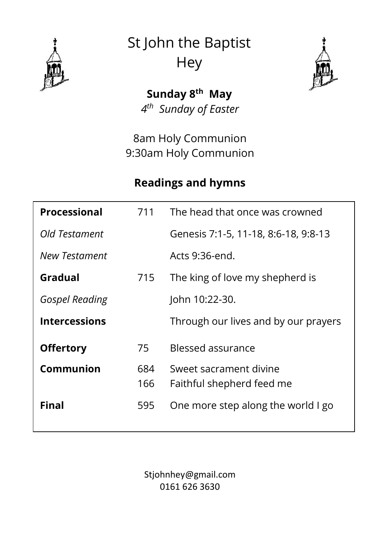

St John the Baptist **Hey** 



**Sunday 8 th May** *4 th Sunday of Easter*

8am Holy Communion 9:30am Holy Communion

### **Readings and hymns**

| Processional          | 711        | The head that once was crowned                      |
|-----------------------|------------|-----------------------------------------------------|
| Old Testament         |            | Genesis 7:1-5, 11-18, 8:6-18, 9:8-13                |
| <b>New Testament</b>  |            | Acts 9:36-end.                                      |
| Gradual               | 715        | The king of love my shepherd is                     |
| <b>Gospel Reading</b> |            | John 10:22-30.                                      |
| <b>Intercessions</b>  |            | Through our lives and by our prayers                |
| <b>Offertory</b>      | 75         | Blessed assurance                                   |
| Communion             | 684<br>166 | Sweet sacrament divine<br>Faithful shepherd feed me |
| Final                 | 595        | One more step along the world I go                  |

Stjohnhey@gmail.com 0161 626 3630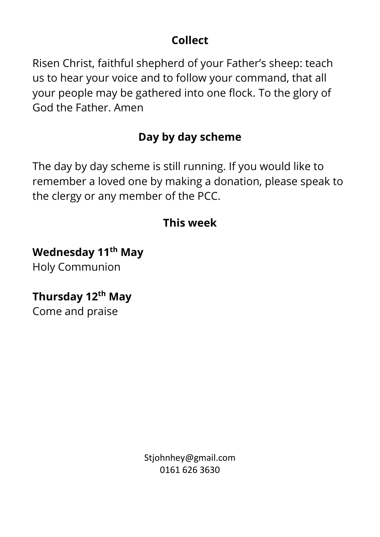## **Collect**

Risen Christ, faithful shepherd of your Father's sheep: teach us to hear your voice and to follow your command, that all your people may be gathered into one flock. To the glory of God the Father. Amen

# **Day by day scheme**

The day by day scheme is still running. If you would like to remember a loved one by making a donation, please speak to the clergy or any member of the PCC.

# **This week**

# **Wednesday 11th May**

Holy Communion

# **Thursday 12th May**

Come and praise

Stjohnhey@gmail.com 0161 626 3630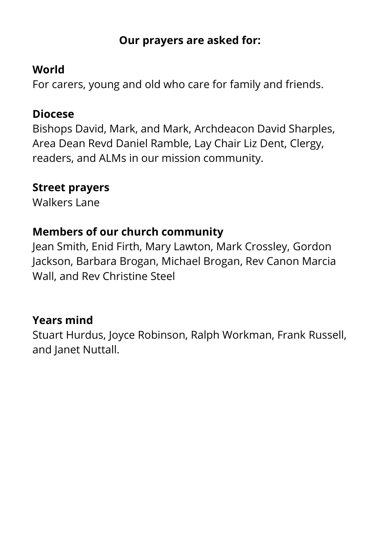### **Our prayers are asked for:**

### **World**

For carers, young and old who care for family and friends.

### **Diocese**

Bishops David, Mark, and Mark, Archdeacon David Sharples, Area Dean Revd Daniel Ramble, Lay Chair Liz Dent, Clergy, readers, and ALMs in our mission community.

#### **Street prayers**

Walkers Lane

### **Members of our church community**

Jean Smith, Enid Firth, Mary Lawton, Mark Crossley, Gordon Jackson, Barbara Brogan, Michael Brogan, Rev Canon Marcia Wall, and Rev Christine Steel

### **Years mind**

Stuart Hurdus, Joyce Robinson, Ralph Workman, Frank Russell, and Janet Nuttall.